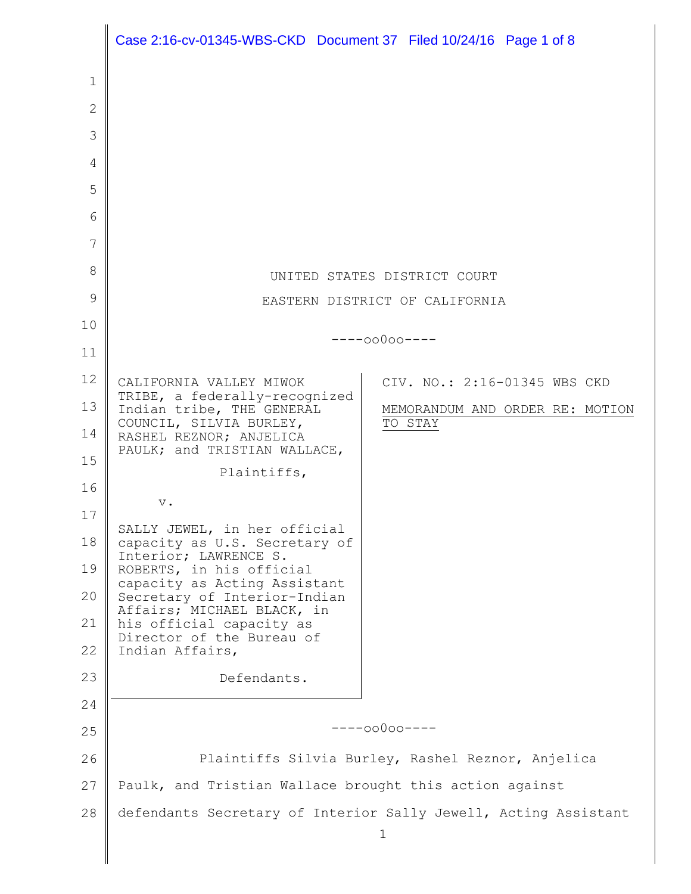|              | Case 2:16-cv-01345-WBS-CKD Document 37 Filed 10/24/16 Page 1 of 8     |  |         |                                 |  |
|--------------|-----------------------------------------------------------------------|--|---------|---------------------------------|--|
| 1            |                                                                       |  |         |                                 |  |
| $\mathbf{2}$ |                                                                       |  |         |                                 |  |
| 3            |                                                                       |  |         |                                 |  |
| 4            |                                                                       |  |         |                                 |  |
| 5            |                                                                       |  |         |                                 |  |
| 6            |                                                                       |  |         |                                 |  |
| 7            |                                                                       |  |         |                                 |  |
| 8            | UNITED STATES DISTRICT COURT                                          |  |         |                                 |  |
| 9            | EASTERN DISTRICT OF CALIFORNIA                                        |  |         |                                 |  |
| 10           |                                                                       |  |         |                                 |  |
| 11           | $---00000---$                                                         |  |         |                                 |  |
| 12           | CALIFORNIA VALLEY MIWOK                                               |  |         | CIV. NO.: 2:16-01345 WBS CKD    |  |
| 13           | TRIBE, a federally-recognized<br>Indian tribe, THE GENERAL            |  |         | MEMORANDUM AND ORDER RE: MOTION |  |
| 14           | COUNCIL, SILVIA BURLEY,<br>RASHEL REZNOR; ANJELICA                    |  | TO STAY |                                 |  |
| 15           | PAULK; and TRISTIAN WALLACE,<br>Plaintiffs,                           |  |         |                                 |  |
| 16           | $\mathbf v$ .                                                         |  |         |                                 |  |
| 17           | SALLY JEWEL, in her official                                          |  |         |                                 |  |
| 18           | capacity as U.S. Secretary of<br>Interior; LAWRENCE S.                |  |         |                                 |  |
| 19           | ROBERTS, in his official<br>capacity as Acting Assistant              |  |         |                                 |  |
| 20           | Secretary of Interior-Indian<br>Affairs; MICHAEL BLACK, in            |  |         |                                 |  |
| 21           | his official capacity as<br>Director of the Bureau of                 |  |         |                                 |  |
| 22           | Indian Affairs,                                                       |  |         |                                 |  |
| 23           | Defendants.                                                           |  |         |                                 |  |
| 24           |                                                                       |  |         |                                 |  |
| 25           | $---00000---$                                                         |  |         |                                 |  |
| 26           | Plaintiffs Silvia Burley, Rashel Reznor, Anjelica                     |  |         |                                 |  |
| 27           | Paulk, and Tristian Wallace brought this action against               |  |         |                                 |  |
| 28           | defendants Secretary of Interior Sally Jewell, Acting Assistant<br>1. |  |         |                                 |  |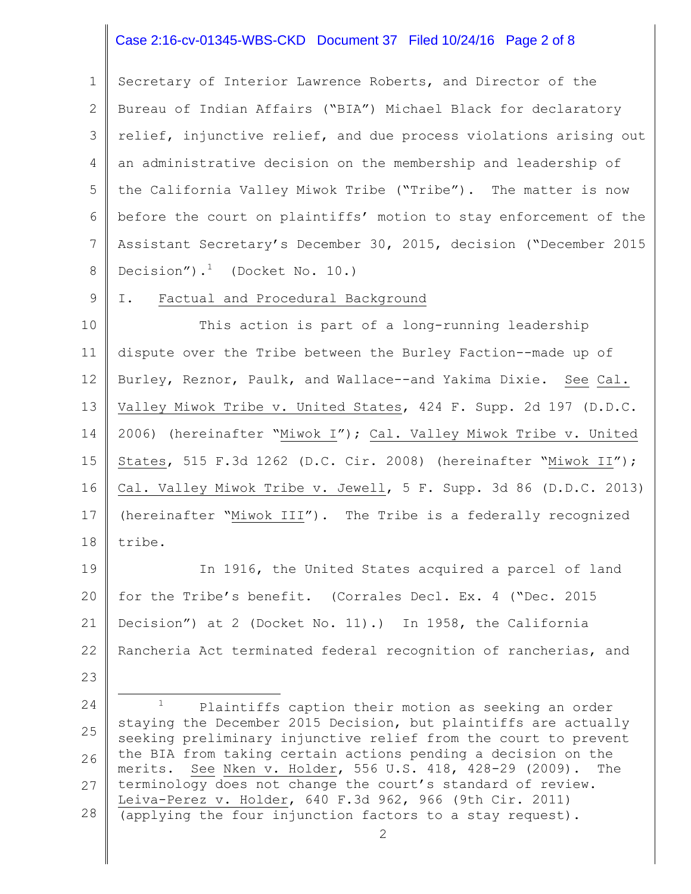# Case 2:16-cv-01345-WBS-CKD Document 37 Filed 10/24/16 Page 2 of 8

1 2 3 4 5 6 7 8 Secretary of Interior Lawrence Roberts, and Director of the Bureau of Indian Affairs ("BIA") Michael Black for declaratory relief, injunctive relief, and due process violations arising out an administrative decision on the membership and leadership of the California Valley Miwok Tribe ("Tribe"). The matter is now before the court on plaintiffs' motion to stay enforcement of the Assistant Secretary's December 30, 2015, decision ("December 2015 Decision"). $<sup>1</sup>$  (Docket No. 10.)</sup>

9

23

#### I. Factual and Procedural Background

10 11 12 13 14 15 16 17 18 This action is part of a long-running leadership dispute over the Tribe between the Burley Faction--made up of Burley, Reznor, Paulk, and Wallace--and Yakima Dixie. See Cal. Valley Miwok Tribe v. United States, 424 F. Supp. 2d 197 (D.D.C. 2006) (hereinafter "Miwok I"); Cal. Valley Miwok Tribe v. United States, 515 F.3d 1262 (D.C. Cir. 2008) (hereinafter "Miwok II"); Cal. Valley Miwok Tribe v. Jewell, 5 F. Supp. 3d 86 (D.D.C. 2013) (hereinafter "Miwok III"). The Tribe is a federally recognized tribe.

19 20 21 22 In 1916, the United States acquired a parcel of land for the Tribe's benefit. (Corrales Decl. Ex. 4 ("Dec. 2015 Decision") at 2 (Docket No. 11).) In 1958, the California Rancheria Act terminated federal recognition of rancherias, and

<sup>24</sup> 25 26 27 28 i<br>L Plaintiffs caption their motion as seeking an order staying the December 2015 Decision, but plaintiffs are actually seeking preliminary injunctive relief from the court to prevent the BIA from taking certain actions pending a decision on the merits. See Nken v. Holder, 556 U.S. 418, 428-29 (2009). The terminology does not change the court's standard of review. Leiva-Perez v. Holder, 640 F.3d 962, 966 (9th Cir. 2011) (applying the four injunction factors to a stay request).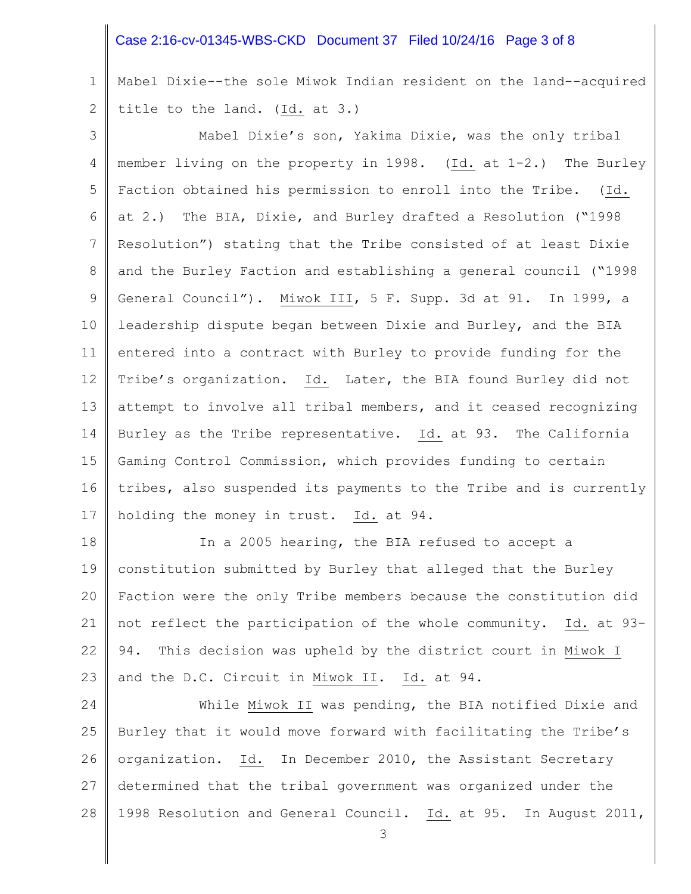# Case 2:16-cv-01345-WBS-CKD Document 37 Filed 10/24/16 Page 3 of 8

1 2 Mabel Dixie--the sole Miwok Indian resident on the land--acquired title to the land. (Id. at 3.)

3 4 5 6 7 8 9 10 11 12 13 14 15 16 17 Mabel Dixie's son, Yakima Dixie, was the only tribal member living on the property in 1998. (Id. at 1-2.) The Burley Faction obtained his permission to enroll into the Tribe. (Id. at 2.) The BIA, Dixie, and Burley drafted a Resolution ("1998 Resolution") stating that the Tribe consisted of at least Dixie and the Burley Faction and establishing a general council ("1998 General Council"). Miwok III, 5 F. Supp. 3d at 91. In 1999, a leadership dispute began between Dixie and Burley, and the BIA entered into a contract with Burley to provide funding for the Tribe's organization. Id. Later, the BIA found Burley did not attempt to involve all tribal members, and it ceased recognizing Burley as the Tribe representative. Id. at 93. The California Gaming Control Commission, which provides funding to certain tribes, also suspended its payments to the Tribe and is currently holding the money in trust. Id. at 94.

18 19 20 21 22 23 In a 2005 hearing, the BIA refused to accept a constitution submitted by Burley that alleged that the Burley Faction were the only Tribe members because the constitution did not reflect the participation of the whole community. Id. at 93- 94. This decision was upheld by the district court in Miwok I and the D.C. Circuit in Miwok II. Id. at 94.

24 25 26 27 28 While Miwok II was pending, the BIA notified Dixie and Burley that it would move forward with facilitating the Tribe's organization. Id. In December 2010, the Assistant Secretary determined that the tribal government was organized under the 1998 Resolution and General Council. Id. at 95. In August 2011,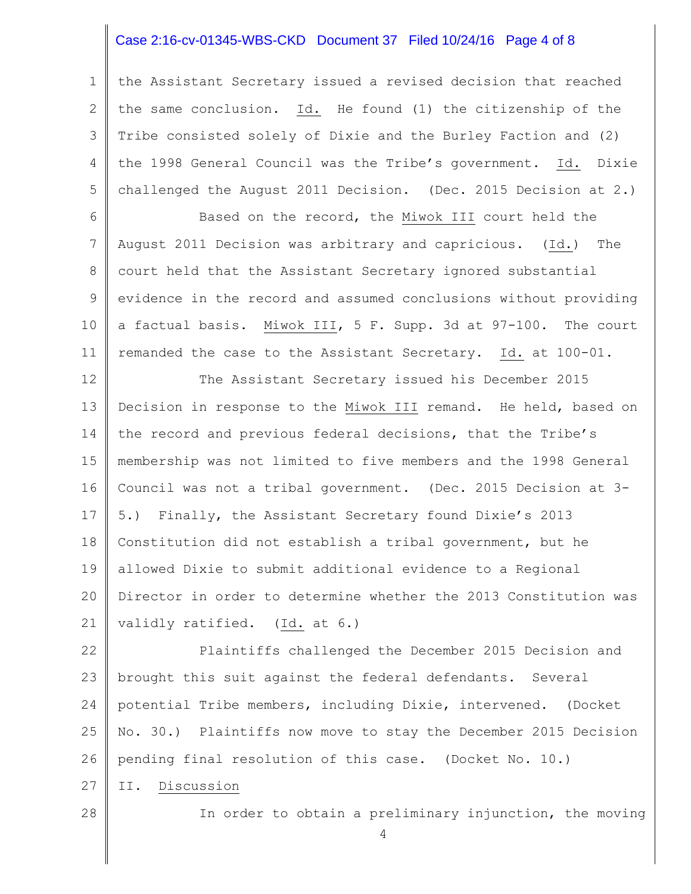# Case 2:16-cv-01345-WBS-CKD Document 37 Filed 10/24/16 Page 4 of 8

1 2 3 4 5 the Assistant Secretary issued a revised decision that reached the same conclusion. Id. He found (1) the citizenship of the Tribe consisted solely of Dixie and the Burley Faction and (2) the 1998 General Council was the Tribe's government. Id. Dixie challenged the August 2011 Decision. (Dec. 2015 Decision at 2.)

6 7 8 9 10 11 Based on the record, the Miwok III court held the August 2011 Decision was arbitrary and capricious. (Id.) The court held that the Assistant Secretary ignored substantial evidence in the record and assumed conclusions without providing a factual basis. Miwok III, 5 F. Supp. 3d at 97-100. The court remanded the case to the Assistant Secretary. Id. at 100-01.

12 13 14 15 16 17 18 19 20 21 The Assistant Secretary issued his December 2015 Decision in response to the Miwok III remand. He held, based on the record and previous federal decisions, that the Tribe's membership was not limited to five members and the 1998 General Council was not a tribal government. (Dec. 2015 Decision at 3- 5.) Finally, the Assistant Secretary found Dixie's 2013 Constitution did not establish a tribal government, but he allowed Dixie to submit additional evidence to a Regional Director in order to determine whether the 2013 Constitution was validly ratified. (Id. at 6.)

22 23 24 25 26 27 Plaintiffs challenged the December 2015 Decision and brought this suit against the federal defendants. Several potential Tribe members, including Dixie, intervened. (Docket No. 30.) Plaintiffs now move to stay the December 2015 Decision pending final resolution of this case. (Docket No. 10.) II. Discussion

28

In order to obtain a preliminary injunction, the moving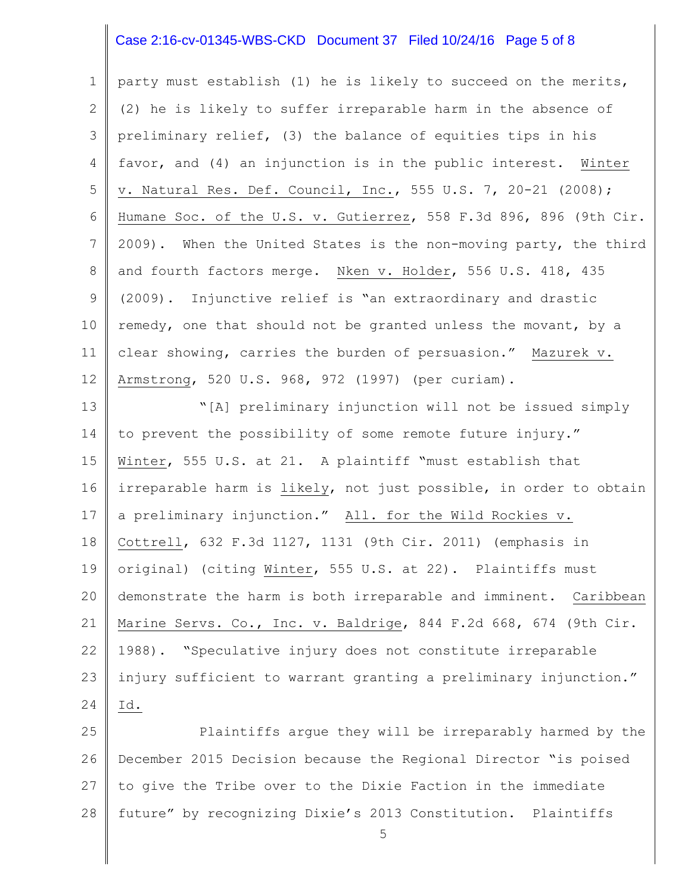# Case 2:16-cv-01345-WBS-CKD Document 37 Filed 10/24/16 Page 5 of 8

1 2 3 4 5 6 7 8 9 10 11 12 party must establish (1) he is likely to succeed on the merits, (2) he is likely to suffer irreparable harm in the absence of preliminary relief, (3) the balance of equities tips in his favor, and (4) an injunction is in the public interest. Winter v. Natural Res. Def. Council, Inc., 555 U.S. 7, 20-21 (2008); Humane Soc. of the U.S. v. Gutierrez, 558 F.3d 896, 896 (9th Cir. 2009). When the United States is the non-moving party, the third and fourth factors merge. Nken v. Holder, 556 U.S. 418, 435 (2009). Injunctive relief is "an extraordinary and drastic remedy, one that should not be granted unless the movant, by a clear showing, carries the burden of persuasion." Mazurek v. Armstrong, 520 U.S. 968, 972 (1997) (per curiam).

13 14 15 16 17 18 19 20 21 22 23 24 "[A] preliminary injunction will not be issued simply to prevent the possibility of some remote future injury." Winter, 555 U.S. at 21. A plaintiff "must establish that irreparable harm is likely, not just possible, in order to obtain a preliminary injunction." All. for the Wild Rockies v. Cottrell, 632 F.3d 1127, 1131 (9th Cir. 2011) (emphasis in original) (citing Winter, 555 U.S. at 22). Plaintiffs must demonstrate the harm is both irreparable and imminent. Caribbean Marine Servs. Co., Inc. v. Baldrige, 844 F.2d 668, 674 (9th Cir. 1988). "Speculative injury does not constitute irreparable injury sufficient to warrant granting a preliminary injunction." Id.

25 26 27 28 Plaintiffs argue they will be irreparably harmed by the December 2015 Decision because the Regional Director "is poised to give the Tribe over to the Dixie Faction in the immediate future" by recognizing Dixie's 2013 Constitution. Plaintiffs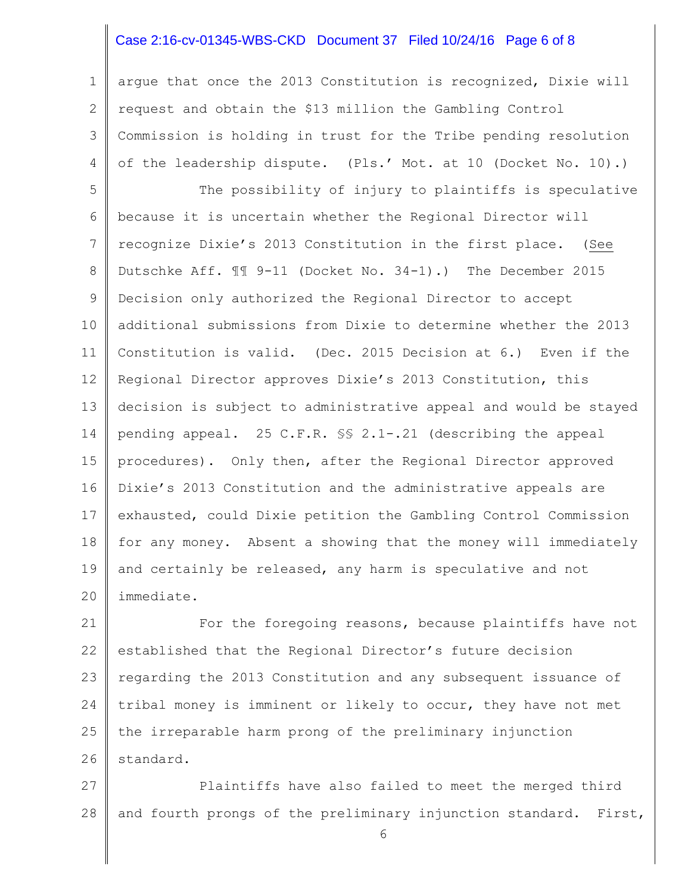# Case 2:16-cv-01345-WBS-CKD Document 37 Filed 10/24/16 Page 6 of 8

1 2 3 4 argue that once the 2013 Constitution is recognized, Dixie will request and obtain the \$13 million the Gambling Control Commission is holding in trust for the Tribe pending resolution of the leadership dispute. (Pls.' Mot. at 10 (Docket No. 10).)

5 6 7 8 9 10 11 12 13 14 15 16 17 18 19 20 The possibility of injury to plaintiffs is speculative because it is uncertain whether the Regional Director will recognize Dixie's 2013 Constitution in the first place. (See Dutschke Aff. ¶¶ 9-11 (Docket No. 34-1).) The December 2015 Decision only authorized the Regional Director to accept additional submissions from Dixie to determine whether the 2013 Constitution is valid. (Dec. 2015 Decision at 6.) Even if the Regional Director approves Dixie's 2013 Constitution, this decision is subject to administrative appeal and would be stayed pending appeal. 25 C.F.R. §§ 2.1-.21 (describing the appeal procedures). Only then, after the Regional Director approved Dixie's 2013 Constitution and the administrative appeals are exhausted, could Dixie petition the Gambling Control Commission for any money. Absent a showing that the money will immediately and certainly be released, any harm is speculative and not immediate.

21 22 23 24 25 26 For the foregoing reasons, because plaintiffs have not established that the Regional Director's future decision regarding the 2013 Constitution and any subsequent issuance of tribal money is imminent or likely to occur, they have not met the irreparable harm prong of the preliminary injunction standard.

27 28 Plaintiffs have also failed to meet the merged third and fourth prongs of the preliminary injunction standard. First,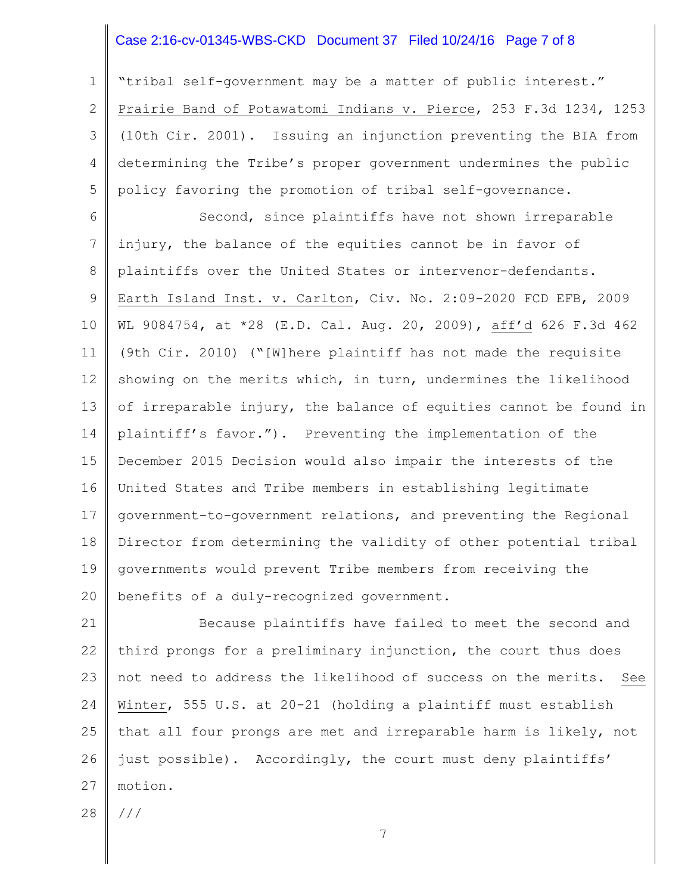# Case 2:16-cv-01345-WBS-CKD Document 37 Filed 10/24/16 Page 7 of 8

1 2 3 4 5 "tribal self-government may be a matter of public interest." Prairie Band of Potawatomi Indians v. Pierce, 253 F.3d 1234, 1253 (10th Cir. 2001). Issuing an injunction preventing the BIA from determining the Tribe's proper government undermines the public policy favoring the promotion of tribal self-governance.

6 7 8 9 10 11 12 13 14 15 16 17 18 19 20 Second, since plaintiffs have not shown irreparable injury, the balance of the equities cannot be in favor of plaintiffs over the United States or intervenor-defendants. Earth Island Inst. v. Carlton, Civ. No. 2:09-2020 FCD EFB, 2009 WL 9084754, at \*28 (E.D. Cal. Aug. 20, 2009), aff'd 626 F.3d 462 (9th Cir. 2010) ("[W]here plaintiff has not made the requisite showing on the merits which, in turn, undermines the likelihood of irreparable injury, the balance of equities cannot be found in plaintiff's favor."). Preventing the implementation of the December 2015 Decision would also impair the interests of the United States and Tribe members in establishing legitimate government-to-government relations, and preventing the Regional Director from determining the validity of other potential tribal governments would prevent Tribe members from receiving the benefits of a duly-recognized government.

21 22 23 24 25 26 27 Because plaintiffs have failed to meet the second and third prongs for a preliminary injunction, the court thus does not need to address the likelihood of success on the merits. See Winter, 555 U.S. at 20-21 (holding a plaintiff must establish that all four prongs are met and irreparable harm is likely, not just possible). Accordingly, the court must deny plaintiffs' motion.

28 ///

7